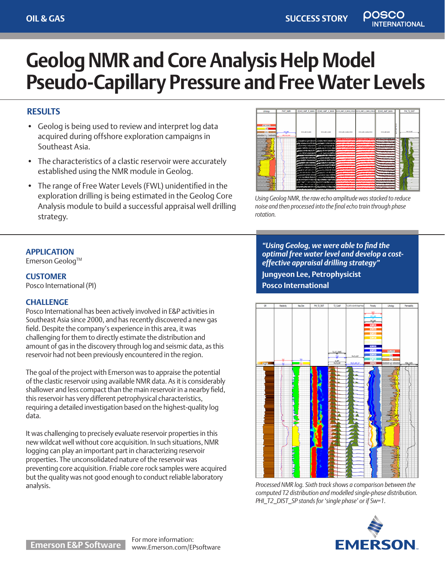**NATIONAL** 

# **Geolog NMR and Core Analysis Help Model Pseudo-Capillary Pressure and Free Water Levels**

## **RESULTS**

- Geolog is being used to review and interpret log data acquired during offshore exploration campaigns in Southeast Asia.
- The characteristics of a clastic reservoir were accurately established using the NMR module in Geolog.
- The range of Free Water Levels (FWL) unidentified in the exploration drilling is being estimated in the Geolog Core Analysis module to build a successful appraisal well drilling strategy.



*Using Geolog NMR, the raw echo amplitude was stacked to reduce noise and then processed into the final echo train through phase rotation.* 

## **APPLICATION**

Emerson Geoloq™

**CUSTOMER** Posco International (PI)

## **CHALLENGE**

Posco International has been actively involved in E&P activities in Southeast Asia since 2000, and has recently discovered a new gas field. Despite the company's experience in this area, it was challenging for them to directly estimate the distribution and amount of gas in the discovery through log and seismic data, as this reservoir had not been previously encountered in the region.

The goal of the project with Emerson was to appraise the potential of the clastic reservoir using available NMR data. As it is considerably shallower and less compact than the main reservoir in a nearby field, this reservoir has very different petrophysical characteristics, requiring a detailed investigation based on the highest-quality log data.

It was challenging to precisely evaluate reservoir properties in this new wildcat well without core acquisition. In such situations, NMR logging can play an important part in characterizing reservoir properties. The unconsolidated nature of the reservoir was preventing core acquisition. Friable core rock samples were acquired but the quality was not good enough to conduct reliable laboratory analysis.

*"Using Geolog, we were able to find the optimal free water level and develop a costeffective appraisal drilling strategy"*  **Jungyeon Lee, Petrophysicist**

**Posco International**



*Processed NMR log. Sixth track shows a comparison between the computed T2 distribution and modelled single-phase distribution. PHI\_T2\_DIST\_SP stands for 'single phase' or if Sw=1.*